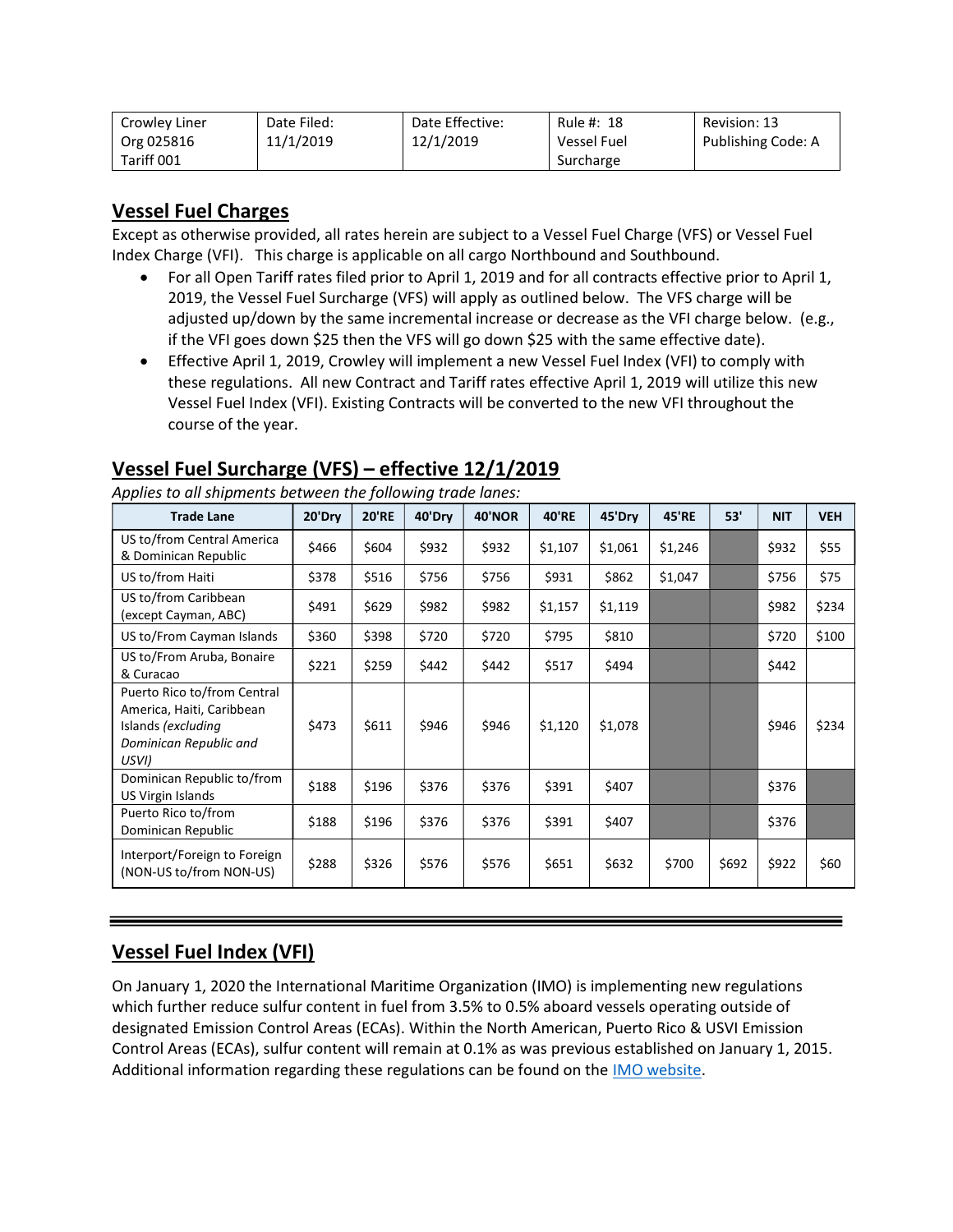| Crowley Liner | Date Filed: | Date Effective: | Rule #: 18         | Revision: 13       |
|---------------|-------------|-----------------|--------------------|--------------------|
| Org 025816    | 11/1/2019   | 12/1/2019       | <b>Vessel Fuel</b> | Publishing Code: A |
| Tariff 001    |             |                 | Surcharge          |                    |

### Vessel Fuel Charges

Except as otherwise provided, all rates herein are subject to a Vessel Fuel Charge (VFS) or Vessel Fuel Index Charge (VFI). This charge is applicable on all cargo Northbound and Southbound.

- For all Open Tariff rates filed prior to April 1, 2019 and for all contracts effective prior to April 1, 2019, the Vessel Fuel Surcharge (VFS) will apply as outlined below. The VFS charge will be adjusted up/down by the same incremental increase or decrease as the VFI charge below. (e.g., if the VFI goes down \$25 then the VFS will go down \$25 with the same effective date).
- Effective April 1, 2019, Crowley will implement a new Vessel Fuel Index (VFI) to comply with these regulations. All new Contract and Tariff rates effective April 1, 2019 will utilize this new Vessel Fuel Index (VFI). Existing Contracts will be converted to the new VFI throughout the course of the year.

| <b>Trade Lane</b>                                                                                                 | 20'Dry | <b>20'RE</b> | 40'Dry | <b>40'NOR</b> | <b>40'RE</b> | 45'Dry  | <b>45'RE</b> | 53'   | <b>NIT</b> | <b>VEH</b> |
|-------------------------------------------------------------------------------------------------------------------|--------|--------------|--------|---------------|--------------|---------|--------------|-------|------------|------------|
| US to/from Central America<br>& Dominican Republic                                                                | \$466  | \$604        | \$932  | \$932         | \$1,107      | \$1,061 | \$1,246      |       | \$932      | \$55       |
| US to/from Haiti                                                                                                  | \$378  | \$516        | \$756  | \$756         | \$931        | \$862   | \$1,047      |       | \$756      | \$75       |
| US to/from Caribbean<br>(except Cayman, ABC)                                                                      | \$491  | \$629        | \$982  | \$982         | \$1,157      | \$1,119 |              |       | \$982      | \$234      |
| US to/From Cayman Islands                                                                                         | \$360  | \$398        | \$720  | \$720         | \$795        | \$810   |              |       | \$720      | \$100      |
| US to/From Aruba, Bonaire<br>& Curacao                                                                            | \$221  | \$259        | \$442  | \$442         | \$517        | \$494   |              |       | \$442      |            |
| Puerto Rico to/from Central<br>America, Haiti, Caribbean<br>Islands (excluding<br>Dominican Republic and<br>USVI) | \$473  | \$611        | \$946  | \$946         | \$1,120      | \$1,078 |              |       | \$946      | \$234      |
| Dominican Republic to/from<br>US Virgin Islands                                                                   | \$188  | \$196        | \$376  | \$376         | \$391        | \$407   |              |       | \$376      |            |
| Puerto Rico to/from<br>Dominican Republic                                                                         | \$188  | \$196        | \$376  | \$376         | \$391        | \$407   |              |       | \$376      |            |
| Interport/Foreign to Foreign<br>(NON-US to/from NON-US)                                                           | \$288  | \$326        | \$576  | \$576         | \$651        | \$632   | \$700        | \$692 | \$922      | \$60       |

# Vessel Fuel Surcharge (VFS) – effective 12/1/2019

Applies to all shipments between the following trade lanes:

## Vessel Fuel Index (VFI)

On January 1, 2020 the International Maritime Organization (IMO) is implementing new regulations which further reduce sulfur content in fuel from 3.5% to 0.5% aboard vessels operating outside of designated Emission Control Areas (ECAs). Within the North American, Puerto Rico & USVI Emission Control Areas (ECAs), sulfur content will remain at 0.1% as was previous established on January 1, 2015. Additional information regarding these regulations can be found on the IMO website.